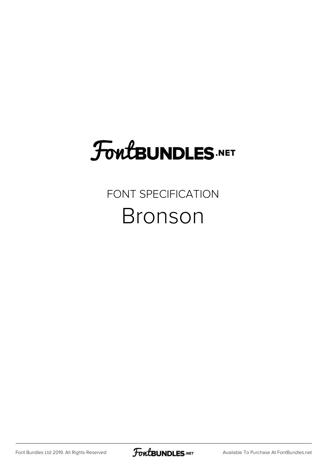### **FoutBUNDLES.NET**

#### FONT SPECIFICATION Bronson

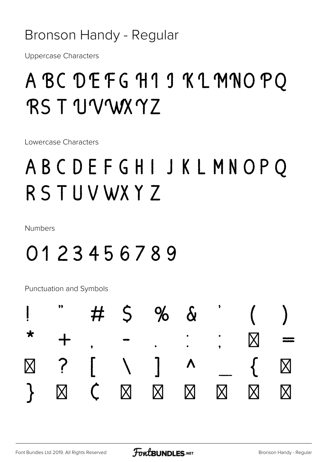#### Bronson Handy - Regular

**Uppercase Characters** 

#### ABC DEFG H1 9 KLMNOPO RST UVWXY7

Lowercase Characters

### ABCDEFGHIJKLMNOPO RSTUVWXYZ

**Numbers** 

#### 0123456789

|                                                 |  | # 5 % & | $\left( \begin{array}{cc} 1 & 1 \end{array} \right)$ |  |
|-------------------------------------------------|--|---------|------------------------------------------------------|--|
|                                                 |  |         |                                                      |  |
| $> ? [ \ \backslash \ ] \ \wedge \ \_ \ \{ \  $ |  |         |                                                      |  |
| $\}$ ; $C$ $E$ $\alpha$ $\neq$ ; $S$            |  |         |                                                      |  |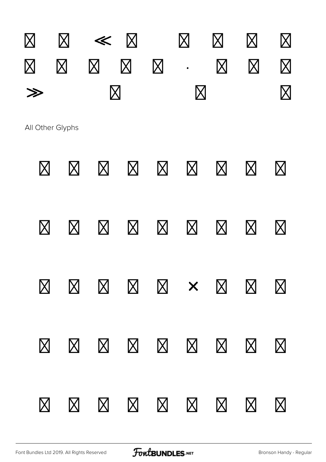

# À Á Â Ã Ä Å Æ Ç È É Ê Ë Ì Í Î Ï Ð Ñ Ò Ó Ô Õ Ö × Ø Ù Ú Û Ü Ý Þ ß à á â ã ä å æ ç è é ê ë ì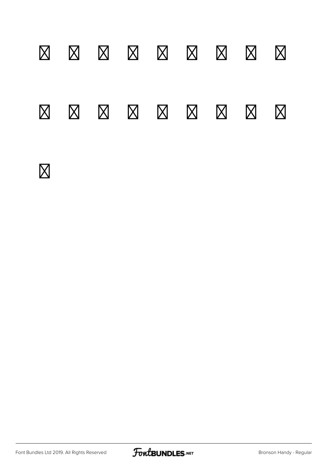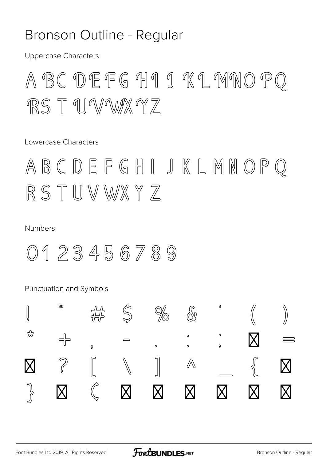#### Bronson Outline - Regular

**Uppercase Characters** 

A BC DEFG HI I KIMNO PO RST UVWXYZ

Lowercase Characters

ABCDEFGHI JKLMNOP  $\left(\!\!\left(\right)\!\!\right)$ RSTUVWXYZ

#### **Numbers**

0123456789

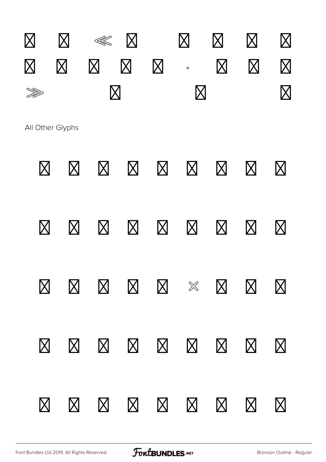

# À Á Â Ã Ä Å Æ Ç È É Ê Ë Ì Í Î Ï Ð Ñ Ò Ó Ô Õ Ö × Ø Ù Ú Û Ü Ý Þ ß à á â ã ä å æ ç è é ê ë ì

[Font Bundles Ltd 2019. All Rights Reserved](https://fontbundles.net/) **FoutBUNDLES.NET** [Bronson Outline - Regular](https://fontbundles.net/)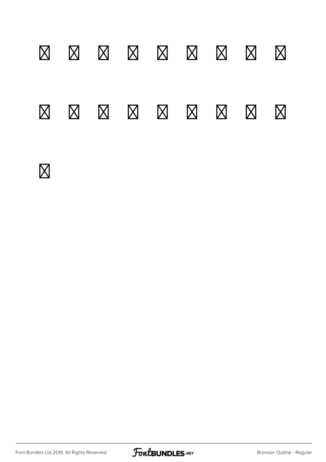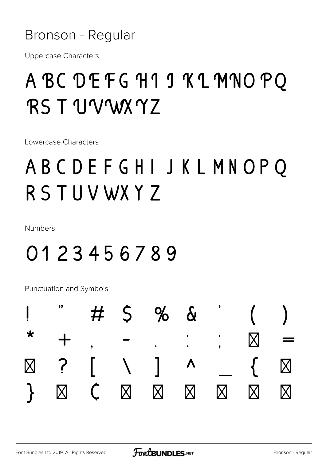Bronson - Regular

**Uppercase Characters** 

#### ABC DEFG H1 J KLMNOPO RST UVWXY7

Lowercase Characters

### ABCDEFGHIJKLMNOPQ RSTUVWXYZ

**Numbers** 

#### 0123456789

|                                           |  | # 5 % & | $\left( \begin{array}{c} \end{array} \right)$ |  |
|-------------------------------------------|--|---------|-----------------------------------------------|--|
|                                           |  |         |                                               |  |
| $> ? [ \ \backslash ] ^ \ \backslash \ ]$ |  |         |                                               |  |
| $\}$ j $C$ $E$ $\alpha$ $\neq$ $\beta$    |  |         |                                               |  |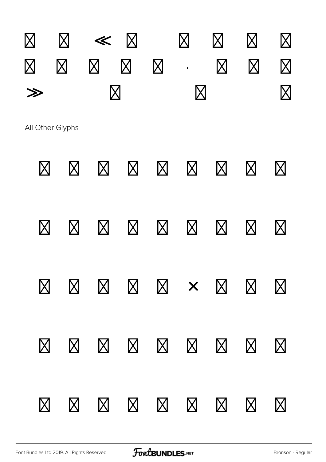

À Á Â Ã Ä Å Æ Ç È É Ê Ë Ì Í Î Ï Ð Ñ Ò Ó Ô Õ Ö × Ø Ù Ú Û Ü Ý Þ ß à á â ã ä å æ ç è é ê ë ì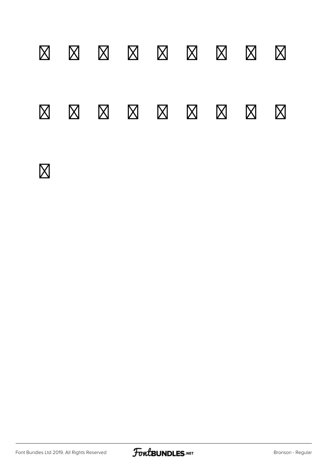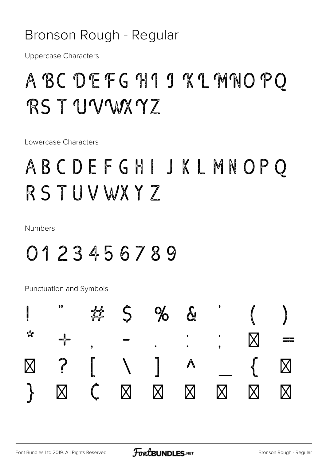#### Bronson Rough - Regular

**Uppercase Characters** 

#### A BC DEFG H1 J KL MNO PO RST UVWXY7

Lowercase Characters

### ABCDEFGHIJKLMNOPQ RSTUVWXYZ

**Numbers** 

#### 0123456789

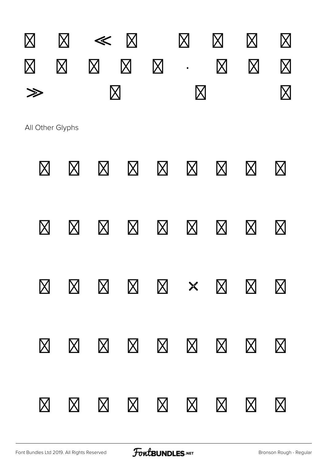

# À Á Â Ã Ä Å Æ Ç È É Ê Ë Ì Í Î Ï Ð Ñ Ò Ó Ô Õ Ö × Ø Ù Ú Û Ü Ý Þ ß à á â ã ä å æ ç è é ê ë ì